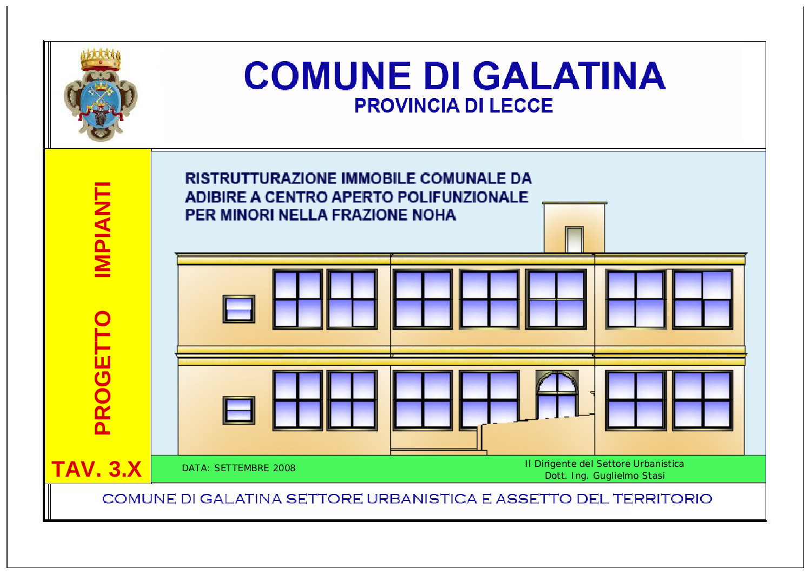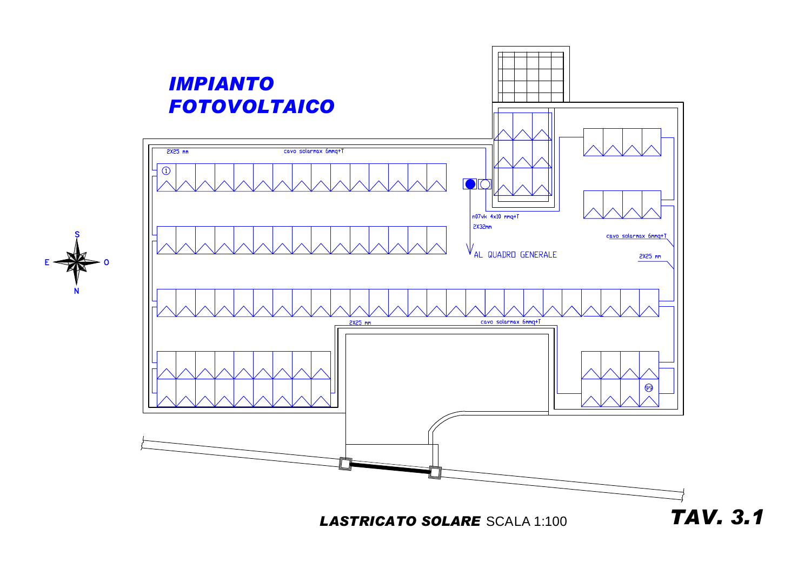

**LASTRICATO SOLARE SCALA 1:100** 

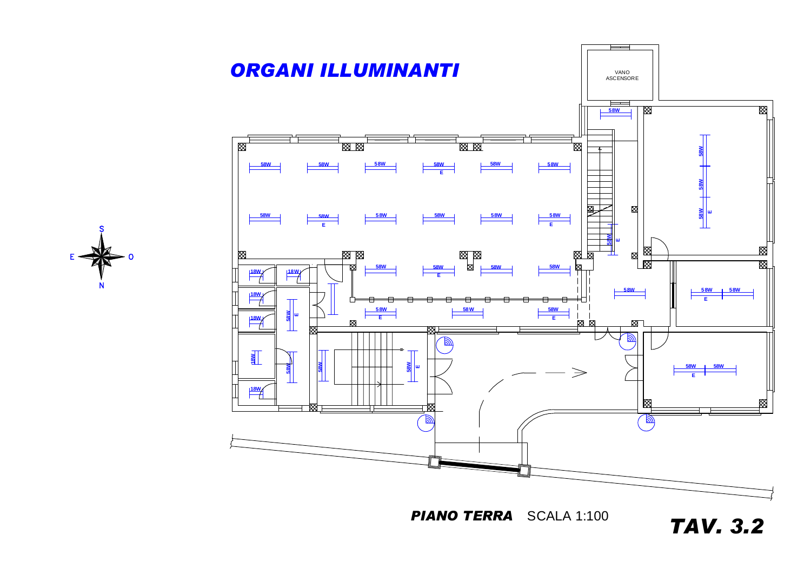

*PIANO TERRA* SCALA 1:100

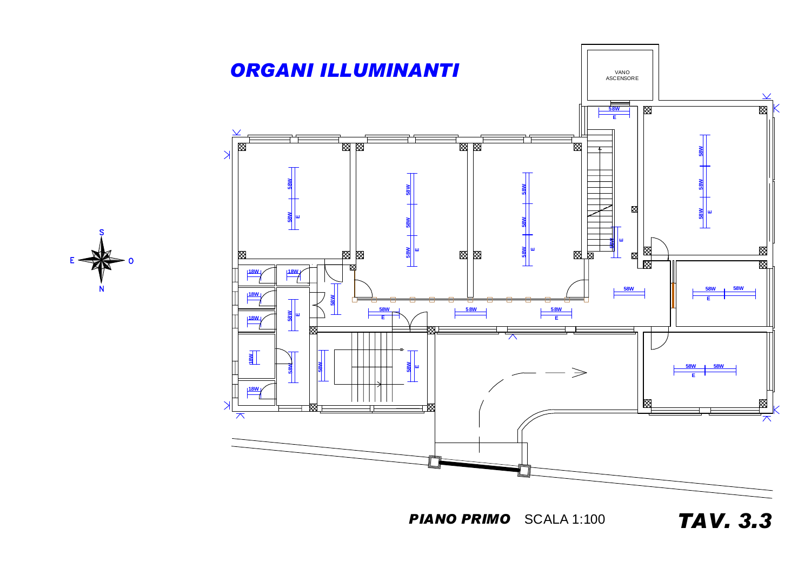



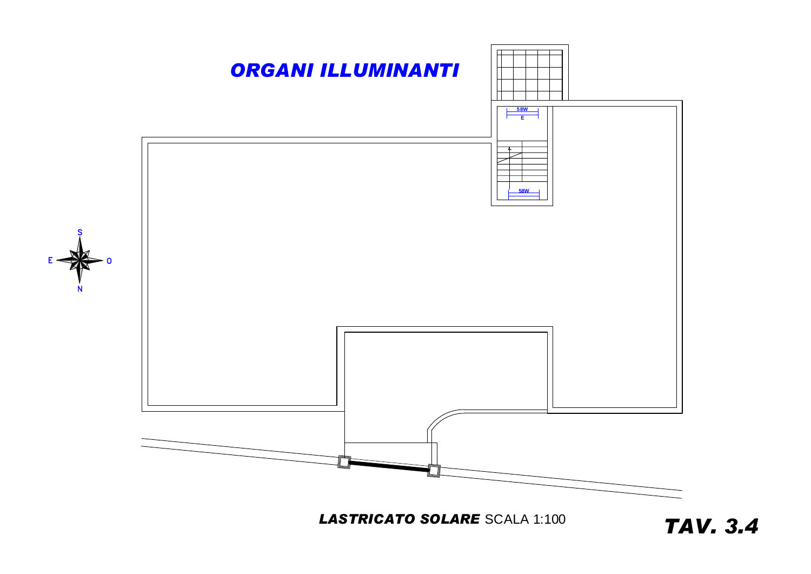

**LASTRICATO SOLARE SCALA 1:100**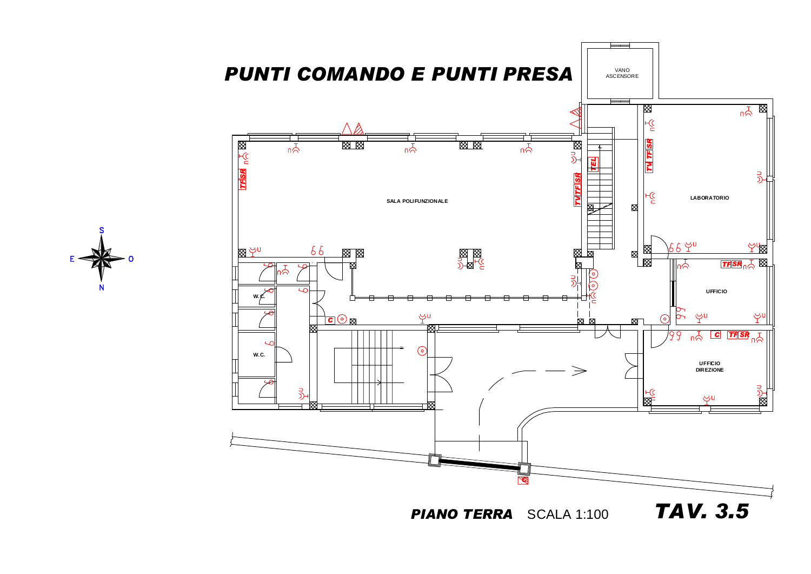





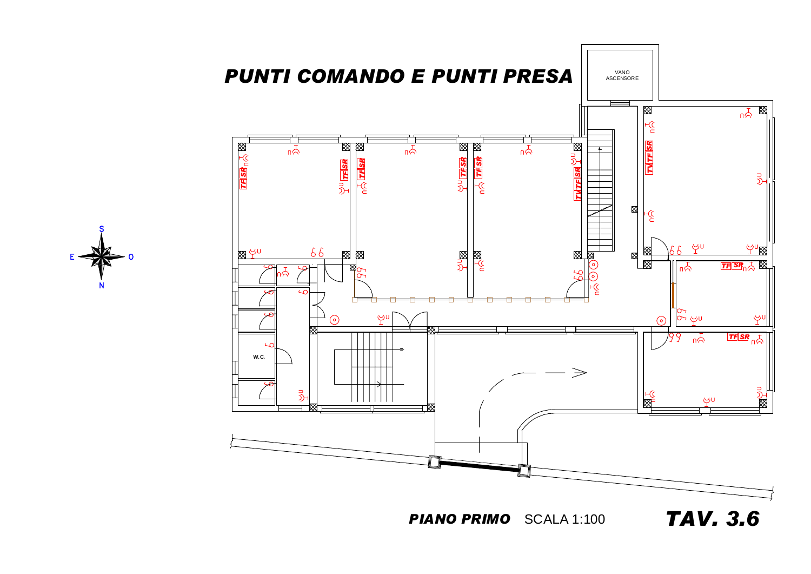



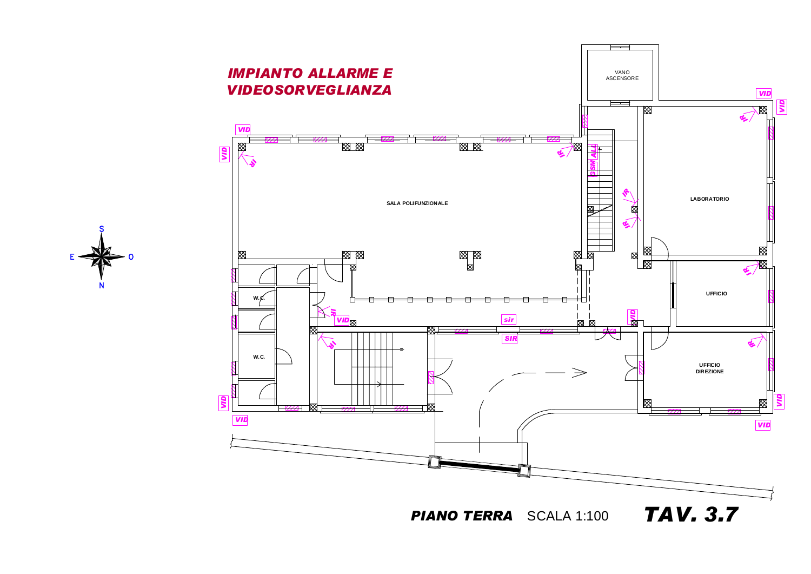





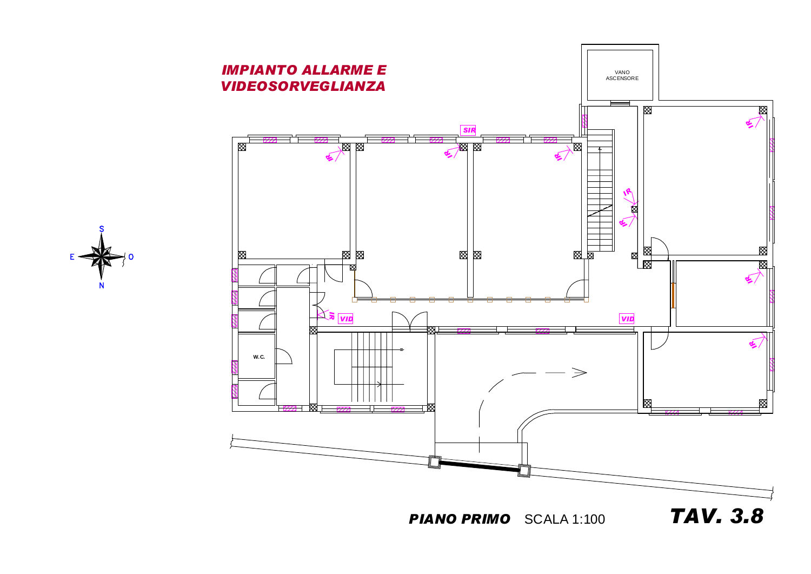

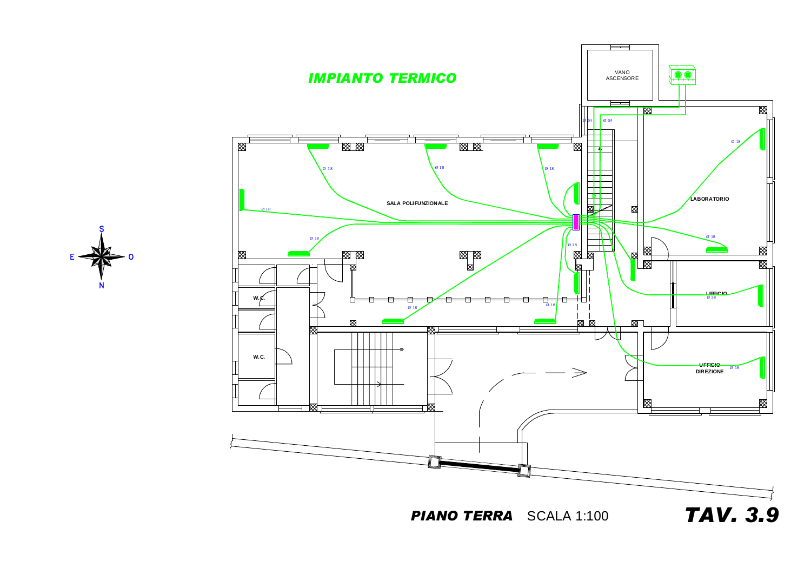*PIANO TERRA* SCALA 1:100





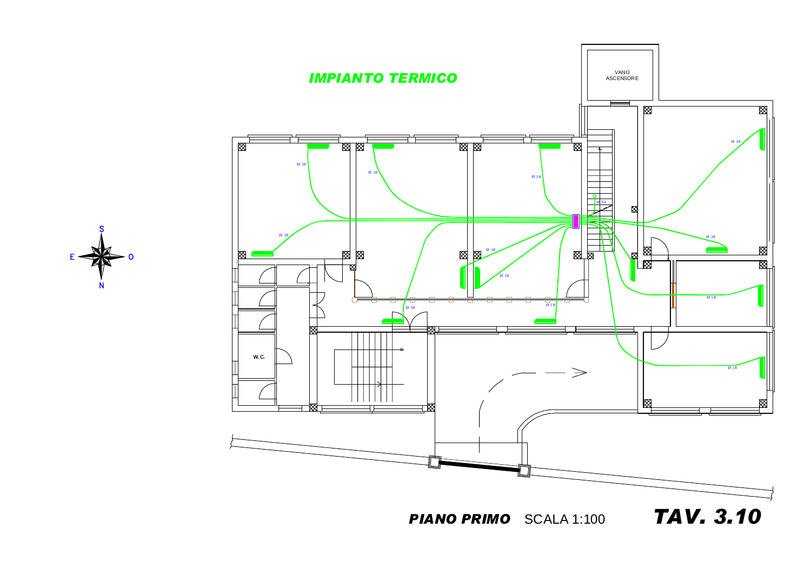

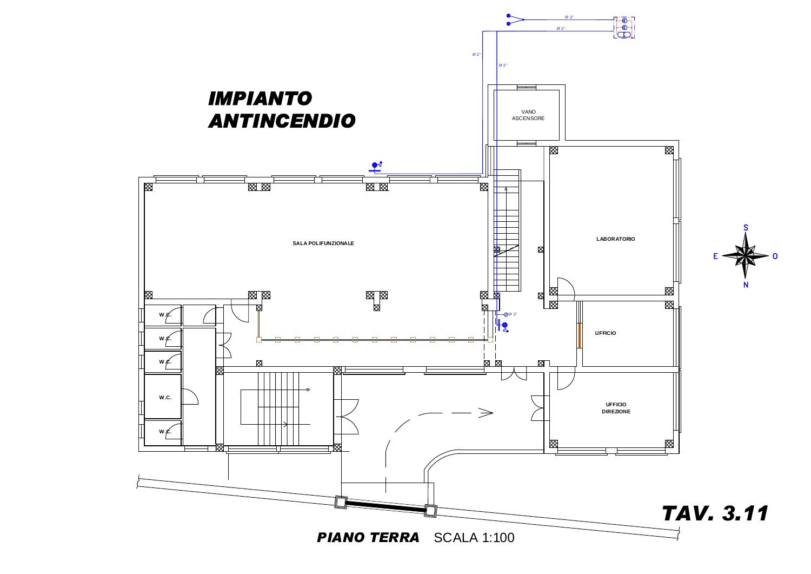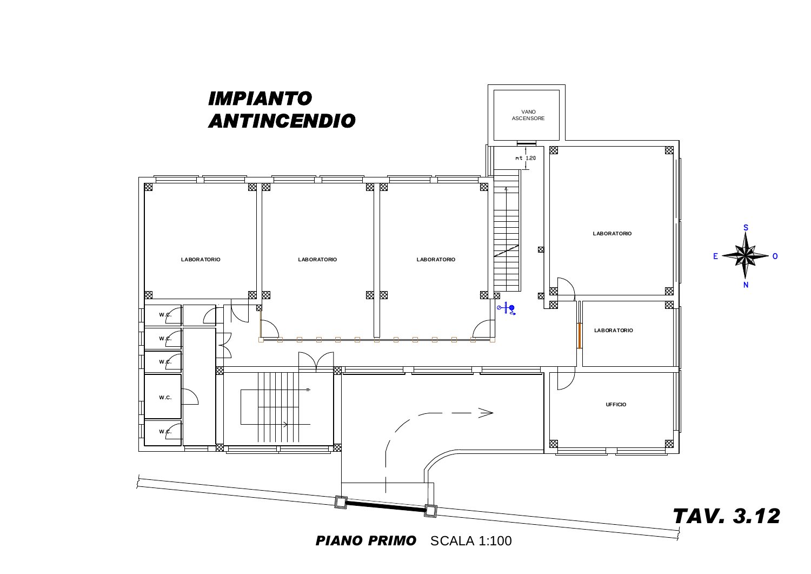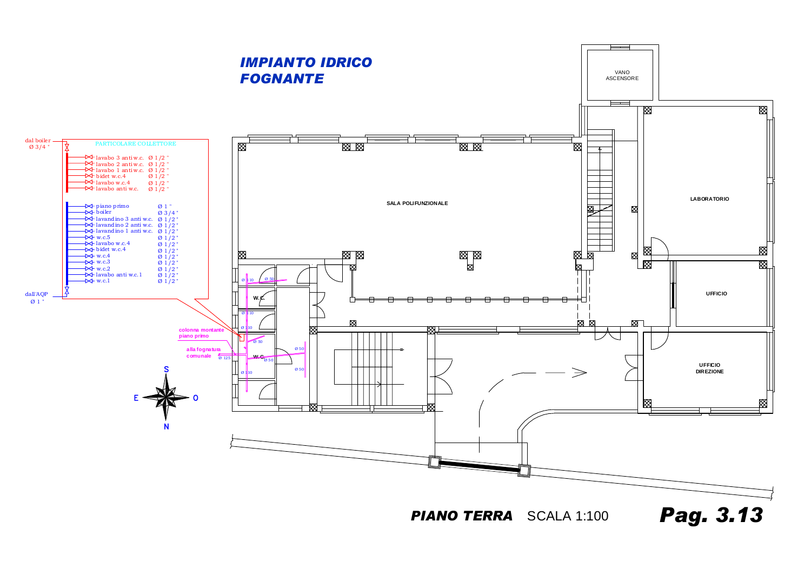*PIANO TERRA* SCALA 1:100



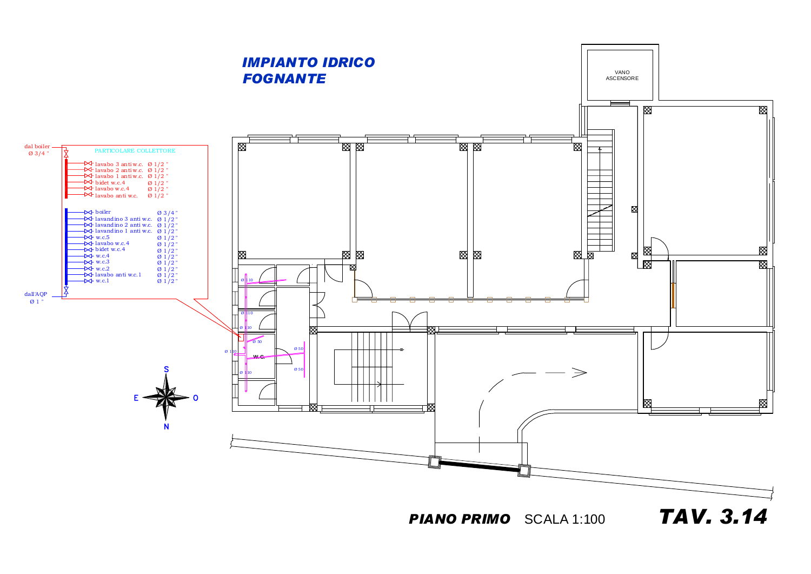